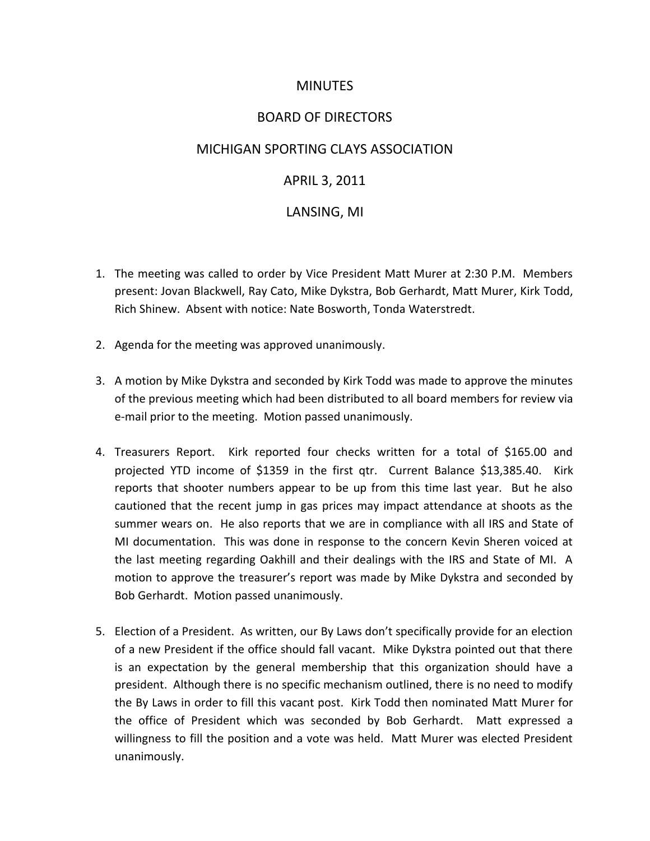# MINUTES

### BOARD OF DIRECTORS

### MICHIGAN SPORTING CLAYS ASSOCIATION

# APRIL 3, 2011

#### LANSING, MI

- 1. The meeting was called to order by Vice President Matt Murer at 2:30 P.M. Members present: Jovan Blackwell, Ray Cato, Mike Dykstra, Bob Gerhardt, Matt Murer, Kirk Todd, Rich Shinew. Absent with notice: Nate Bosworth, Tonda Waterstredt.
- 2. Agenda for the meeting was approved unanimously.
- 3. A motion by Mike Dykstra and seconded by Kirk Todd was made to approve the minutes of the previous meeting which had been distributed to all board members for review via e-mail prior to the meeting. Motion passed unanimously.
- 4. Treasurers Report. Kirk reported four checks written for a total of \$165.00 and projected YTD income of \$1359 in the first qtr. Current Balance \$13,385.40. Kirk reports that shooter numbers appear to be up from this time last year. But he also cautioned that the recent jump in gas prices may impact attendance at shoots as the summer wears on. He also reports that we are in compliance with all IRS and State of MI documentation. This was done in response to the concern Kevin Sheren voiced at the last meeting regarding Oakhill and their dealings with the IRS and State of MI. A motion to approve the treasurer's report was made by Mike Dykstra and seconded by Bob Gerhardt. Motion passed unanimously.
- 5. Election of a President. As written, our By Laws don't specifically provide for an election of a new President if the office should fall vacant. Mike Dykstra pointed out that there is an expectation by the general membership that this organization should have a president. Although there is no specific mechanism outlined, there is no need to modify the By Laws in order to fill this vacant post. Kirk Todd then nominated Matt Murer for the office of President which was seconded by Bob Gerhardt. Matt expressed a willingness to fill the position and a vote was held. Matt Murer was elected President unanimously.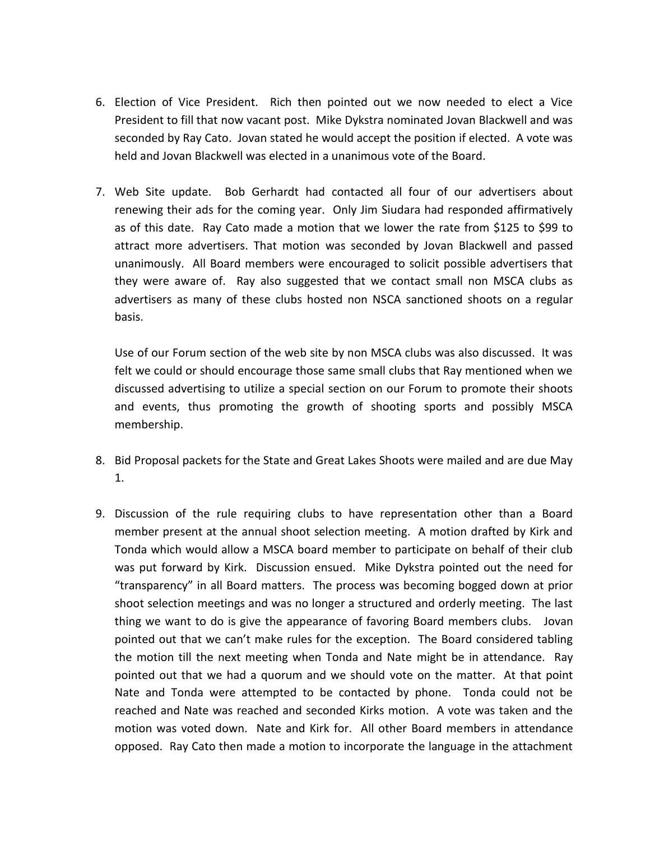- 6. Election of Vice President. Rich then pointed out we now needed to elect a Vice President to fill that now vacant post. Mike Dykstra nominated Jovan Blackwell and was seconded by Ray Cato. Jovan stated he would accept the position if elected. A vote was held and Jovan Blackwell was elected in a unanimous vote of the Board.
- 7. Web Site update. Bob Gerhardt had contacted all four of our advertisers about renewing their ads for the coming year. Only Jim Siudara had responded affirmatively as of this date. Ray Cato made a motion that we lower the rate from \$125 to \$99 to attract more advertisers. That motion was seconded by Jovan Blackwell and passed unanimously. All Board members were encouraged to solicit possible advertisers that they were aware of. Ray also suggested that we contact small non MSCA clubs as advertisers as many of these clubs hosted non NSCA sanctioned shoots on a regular basis.

Use of our Forum section of the web site by non MSCA clubs was also discussed. It was felt we could or should encourage those same small clubs that Ray mentioned when we discussed advertising to utilize a special section on our Forum to promote their shoots and events, thus promoting the growth of shooting sports and possibly MSCA membership.

- 8. Bid Proposal packets for the State and Great Lakes Shoots were mailed and are due May 1.
- 9. Discussion of the rule requiring clubs to have representation other than a Board member present at the annual shoot selection meeting. A motion drafted by Kirk and Tonda which would allow a MSCA board member to participate on behalf of their club was put forward by Kirk. Discussion ensued. Mike Dykstra pointed out the need for "transparency" in all Board matters. The process was becoming bogged down at prior shoot selection meetings and was no longer a structured and orderly meeting. The last thing we want to do is give the appearance of favoring Board members clubs. Jovan pointed out that we can't make rules for the exception. The Board considered tabling the motion till the next meeting when Tonda and Nate might be in attendance. Ray pointed out that we had a quorum and we should vote on the matter. At that point Nate and Tonda were attempted to be contacted by phone. Tonda could not be reached and Nate was reached and seconded Kirks motion. A vote was taken and the motion was voted down. Nate and Kirk for. All other Board members in attendance opposed. Ray Cato then made a motion to incorporate the language in the attachment